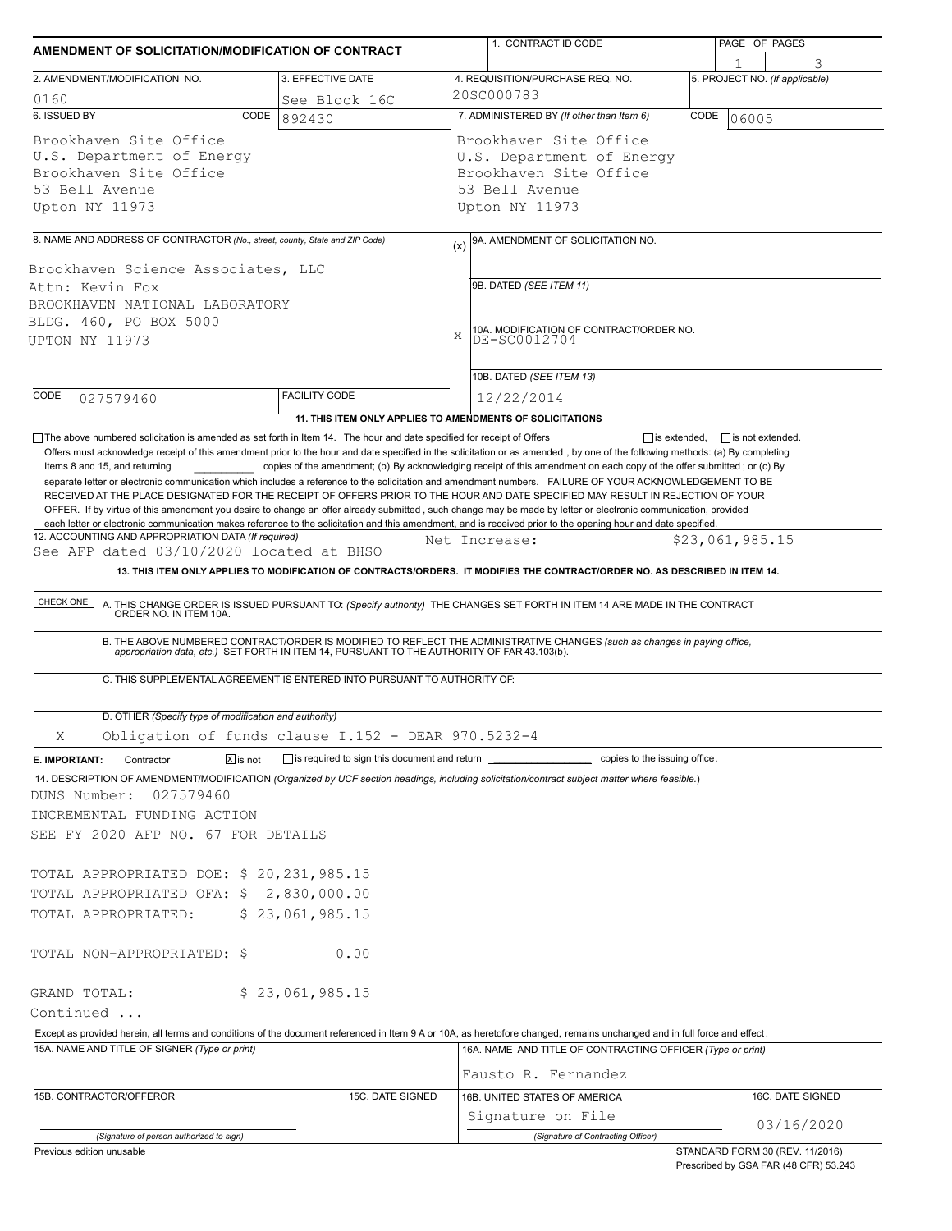|                                                                                                                                                                                                                                                                                                                                                                                                                                                                                                                                                                                                                                                                                                      | AMENDMENT OF SOLICITATION/MODIFICATION OF CONTRACT |                                                           |                                                                                                                                    |                                                                                   |  | PAGE OF PAGES                  |  |  |
|------------------------------------------------------------------------------------------------------------------------------------------------------------------------------------------------------------------------------------------------------------------------------------------------------------------------------------------------------------------------------------------------------------------------------------------------------------------------------------------------------------------------------------------------------------------------------------------------------------------------------------------------------------------------------------------------------|----------------------------------------------------|-----------------------------------------------------------|------------------------------------------------------------------------------------------------------------------------------------|-----------------------------------------------------------------------------------|--|--------------------------------|--|--|
| 2. AMENDMENT/MODIFICATION NO.<br>3. EFFECTIVE DATE                                                                                                                                                                                                                                                                                                                                                                                                                                                                                                                                                                                                                                                   |                                                    |                                                           |                                                                                                                                    |                                                                                   |  | 5. PROJECT NO. (If applicable) |  |  |
|                                                                                                                                                                                                                                                                                                                                                                                                                                                                                                                                                                                                                                                                                                      |                                                    |                                                           | 4. REQUISITION/PURCHASE REQ. NO.<br>20SC000783                                                                                     |                                                                                   |  |                                |  |  |
| 0160<br>6. ISSUED BY                                                                                                                                                                                                                                                                                                                                                                                                                                                                                                                                                                                                                                                                                 | CODE<br>892430                                     | See Block 16C                                             | 7. ADMINISTERED BY (If other than Item 6)<br>CODE<br>06005                                                                         |                                                                                   |  |                                |  |  |
| Brookhaven Site Office<br>U.S. Department of Energy<br>Brookhaven Site Office<br>53 Bell Avenue<br>Upton NY 11973                                                                                                                                                                                                                                                                                                                                                                                                                                                                                                                                                                                    |                                                    |                                                           | Brookhaven Site Office<br>U.S. Department of Energy<br>Brookhaven Site Office<br>53 Bell Avenue<br>Upton NY 11973                  |                                                                                   |  |                                |  |  |
| 8. NAME AND ADDRESS OF CONTRACTOR (No., street, county, State and ZIP Code)                                                                                                                                                                                                                                                                                                                                                                                                                                                                                                                                                                                                                          |                                                    |                                                           |                                                                                                                                    | 9A. AMENDMENT OF SOLICITATION NO.                                                 |  |                                |  |  |
| Brookhaven Science Associates, LLC<br>Attn: Kevin Fox<br>BROOKHAVEN NATIONAL LABORATORY<br>BLDG. 460, PO BOX 5000<br><b>UPTON NY 11973</b>                                                                                                                                                                                                                                                                                                                                                                                                                                                                                                                                                           |                                                    |                                                           | (x)<br>9B. DATED (SEE ITEM 11)<br>10A. MODIFICATION OF CONTRACT/ORDER NO.<br>DE-SC0012704<br>$\bar{x}$<br>10B. DATED (SEE ITEM 13) |                                                                                   |  |                                |  |  |
| CODE<br>027579460                                                                                                                                                                                                                                                                                                                                                                                                                                                                                                                                                                                                                                                                                    | <b>FACILITY CODE</b>                               |                                                           | 12/22/2014                                                                                                                         |                                                                                   |  |                                |  |  |
|                                                                                                                                                                                                                                                                                                                                                                                                                                                                                                                                                                                                                                                                                                      |                                                    | 11. THIS ITEM ONLY APPLIES TO AMENDMENTS OF SOLICITATIONS |                                                                                                                                    |                                                                                   |  |                                |  |  |
| RECEIVED AT THE PLACE DESIGNATED FOR THE RECEIPT OF OFFERS PRIOR TO THE HOUR AND DATE SPECIFIED MAY RESULT IN REJECTION OF YOUR<br>OFFER. If by virtue of this amendment you desire to change an offer already submitted, such change may be made by letter or electronic communication, provided<br>each letter or electronic communication makes reference to the solicitation and this amendment, and is received prior to the opening hour and date specified.<br>12. ACCOUNTING AND APPROPRIATION DATA (If required)<br>See AFP dated 03/10/2020 located at BHSO<br>13. THIS ITEM ONLY APPLIES TO MODIFICATION OF CONTRACTS/ORDERS. IT MODIFIES THE CONTRACT/ORDER NO. AS DESCRIBED IN ITEM 14. |                                                    |                                                           | Net Increase:                                                                                                                      |                                                                                   |  | \$23,061,985.15                |  |  |
|                                                                                                                                                                                                                                                                                                                                                                                                                                                                                                                                                                                                                                                                                                      |                                                    |                                                           |                                                                                                                                    |                                                                                   |  |                                |  |  |
| CHECK ONE<br>A. THIS CHANGE ORDER IS ISSUED PURSUANT TO: (Specify authority) THE CHANGES SET FORTH IN ITEM 14 ARE MADE IN THE CONTRACT ORDER NO. IN ITEM 10A.<br>B. THE ABOVE NUMBERED CONTRACT/ORDER IS MODIFIED TO REFLECT THE ADMINISTRATIVE CHANGES (such as changes in paying office, appropriation data, etc.) SET FORTH IN ITEM 14, PURSUANT TO THE AUTHORITY OF FAR 43.103(b).<br>C. THIS SUPPLEMENTAL AGREEMENT IS ENTERED INTO PURSUANT TO AUTHORITY OF:                                                                                                                                                                                                                                   |                                                    |                                                           |                                                                                                                                    |                                                                                   |  |                                |  |  |
| D. OTHER (Specify type of modification and authority)                                                                                                                                                                                                                                                                                                                                                                                                                                                                                                                                                                                                                                                |                                                    |                                                           |                                                                                                                                    |                                                                                   |  |                                |  |  |
| Obligation of funds clause I.152 - DEAR 970.5232-4<br>Χ                                                                                                                                                                                                                                                                                                                                                                                                                                                                                                                                                                                                                                              |                                                    |                                                           |                                                                                                                                    |                                                                                   |  |                                |  |  |
| E. IMPORTANT:<br>Contractor                                                                                                                                                                                                                                                                                                                                                                                                                                                                                                                                                                                                                                                                          | $\sqrt{X}$ is not                                  |                                                           |                                                                                                                                    | is required to sign this document and return contained to the issuing office.     |  |                                |  |  |
| 14. DESCRIPTION OF AMENDMENT/MODIFICATION (Organized by UCF section headings, including solicitation/contract subject matter where feasible.)<br>027579460                                                                                                                                                                                                                                                                                                                                                                                                                                                                                                                                           |                                                    |                                                           |                                                                                                                                    |                                                                                   |  |                                |  |  |
|                                                                                                                                                                                                                                                                                                                                                                                                                                                                                                                                                                                                                                                                                                      |                                                    |                                                           |                                                                                                                                    |                                                                                   |  |                                |  |  |
|                                                                                                                                                                                                                                                                                                                                                                                                                                                                                                                                                                                                                                                                                                      |                                                    |                                                           |                                                                                                                                    |                                                                                   |  |                                |  |  |
|                                                                                                                                                                                                                                                                                                                                                                                                                                                                                                                                                                                                                                                                                                      | \$23,061,985.15                                    |                                                           |                                                                                                                                    |                                                                                   |  |                                |  |  |
|                                                                                                                                                                                                                                                                                                                                                                                                                                                                                                                                                                                                                                                                                                      |                                                    | 0.00                                                      |                                                                                                                                    |                                                                                   |  |                                |  |  |
|                                                                                                                                                                                                                                                                                                                                                                                                                                                                                                                                                                                                                                                                                                      | \$23,061,985.15                                    |                                                           |                                                                                                                                    |                                                                                   |  |                                |  |  |
| Except as provided herein, all terms and conditions of the document referenced in Item 9 A or 10A, as heretofore changed, remains unchanged and in full force and effect.                                                                                                                                                                                                                                                                                                                                                                                                                                                                                                                            |                                                    |                                                           |                                                                                                                                    |                                                                                   |  |                                |  |  |
| 15A. NAME AND TITLE OF SIGNER (Type or print)                                                                                                                                                                                                                                                                                                                                                                                                                                                                                                                                                                                                                                                        |                                                    |                                                           |                                                                                                                                    | 16A. NAME AND TITLE OF CONTRACTING OFFICER (Type or print)<br>Fausto R. Fernandez |  |                                |  |  |
| DUNS Number:<br>INCREMENTAL FUNDING ACTION<br>SEE FY 2020 AFP NO. 67 FOR DETAILS<br>TOTAL APPROPRIATED DOE: \$ 20,231,985.15<br>TOTAL APPROPRIATED OFA: \$2,830,000.00<br>TOTAL APPROPRIATED:<br>TOTAL NON-APPROPRIATED: \$<br>GRAND TOTAL:<br>Continued<br>15B. CONTRACTOR/OFFEROR                                                                                                                                                                                                                                                                                                                                                                                                                  |                                                    | 15C. DATE SIGNED                                          | Signature on File                                                                                                                  | 16B. UNITED STATES OF AMERICA                                                     |  | 16C. DATE SIGNED<br>03/16/2020 |  |  |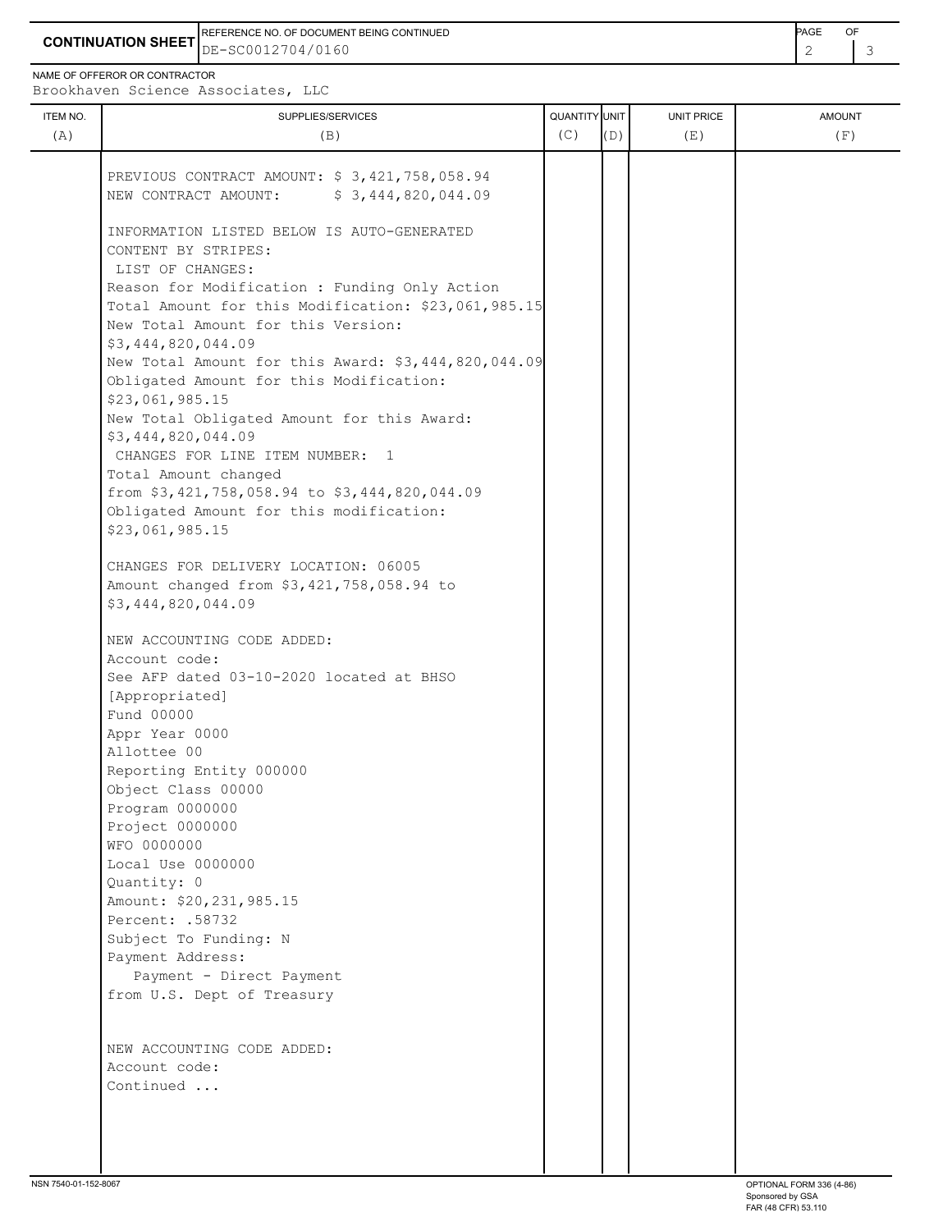**CONTINUATION SHEET** DE-SC0012704/0160 REFERENCE NO. OF DOCUMENT BEING CONTINUED **Example 2008** PAGE OF

NAME OF OFFEROR OR CONTRACTOR

Brookhaven Science Associates, LLC

| ITEM NO.<br>(A) | SUPPLIES/SERVICES<br>(B)                                                                                                                                       | QUANTITY UNIT<br>(C) | (D) | UNIT PRICE<br>(E) | <b>AMOUNT</b><br>(F) |
|-----------------|----------------------------------------------------------------------------------------------------------------------------------------------------------------|----------------------|-----|-------------------|----------------------|
|                 | PREVIOUS CONTRACT AMOUNT: \$ 3,421,758,058.94<br>NEW CONTRACT AMOUNT: \$3,444,820,044.09                                                                       |                      |     |                   |                      |
|                 | INFORMATION LISTED BELOW IS AUTO-GENERATED<br>CONTENT BY STRIPES:                                                                                              |                      |     |                   |                      |
|                 | LIST OF CHANGES:<br>Reason for Modification : Funding Only Action<br>Total Amount for this Modification: \$23,061,985.15<br>New Total Amount for this Version: |                      |     |                   |                      |
|                 | \$3,444,820,044.09<br>New Total Amount for this Award: \$3,444,820,044.09<br>Obligated Amount for this Modification:<br>\$23,061,985.15                        |                      |     |                   |                      |
|                 | New Total Obligated Amount for this Award:<br>\$3,444,820,044.09<br>CHANGES FOR LINE ITEM NUMBER: 1                                                            |                      |     |                   |                      |
|                 | Total Amount changed<br>from \$3,421,758,058.94 to \$3,444,820,044.09<br>Obligated Amount for this modification:<br>\$23,061,985.15                            |                      |     |                   |                      |
|                 | CHANGES FOR DELIVERY LOCATION: 06005<br>Amount changed from \$3,421,758,058.94 to<br>\$3,444,820,044.09                                                        |                      |     |                   |                      |
|                 | NEW ACCOUNTING CODE ADDED:<br>Account code:<br>See AFP dated 03-10-2020 located at BHSO<br>[Appropriated]                                                      |                      |     |                   |                      |
|                 | Fund 00000<br>Appr Year 0000<br>Allottee 00<br>Reporting Entity 000000                                                                                         |                      |     |                   |                      |
|                 | Object Class 00000<br>Program 0000000<br>Project 0000000<br>WFO 0000000                                                                                        |                      |     |                   |                      |
|                 | Local Use 0000000<br>Quantity: 0<br>Amount: \$20,231,985.15<br>Percent: .58732                                                                                 |                      |     |                   |                      |
|                 | Subject To Funding: N<br>Payment Address:<br>Payment - Direct Payment<br>from U.S. Dept of Treasury                                                            |                      |     |                   |                      |
|                 | NEW ACCOUNTING CODE ADDED:<br>Account code:<br>Continued                                                                                                       |                      |     |                   |                      |
|                 |                                                                                                                                                                |                      |     |                   |                      |